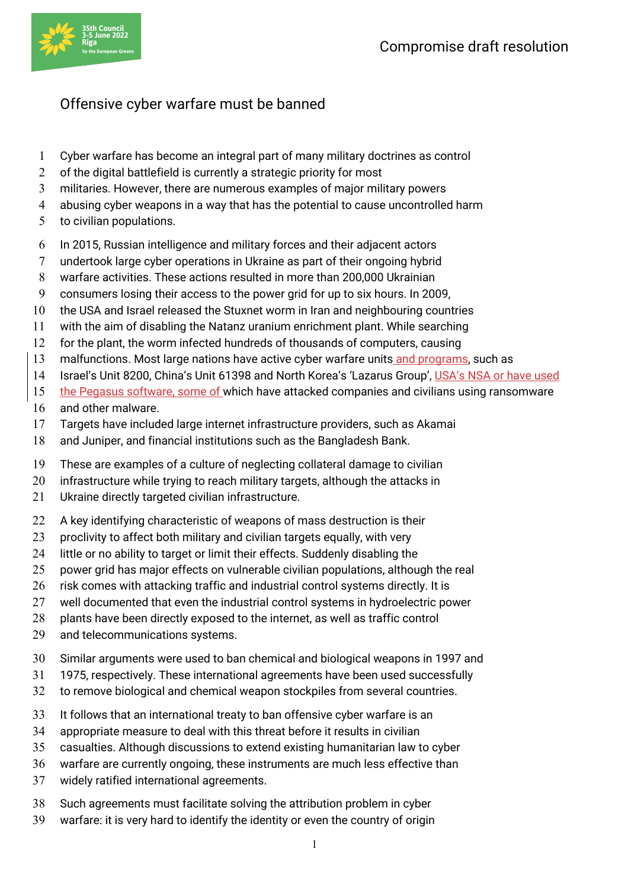

## Offensive cyber warfare must be banned

- Cyber warfare has become an integral part of many military doctrines as control
- 2 of the digital battlefield is currently a strategic priority for most
- militaries. However, there are numerous examples of major military powers
- abusing cyber weapons in a way that has the potential to cause uncontrolled harm
- to civilian populations.
- In 2015, Russian intelligence and military forces and their adjacent actors
- undertook large cyber operations in Ukraine as part of their ongoing hybrid
- warfare activities. These actions resulted in more than 200,000 Ukrainian
- consumers losing their access to the power grid for up to six hours. In 2009,
- the USA and Israel released the Stuxnet worm in Iran and neighbouring countries
- with the aim of disabling the Natanz uranium enrichment plant. While searching
- for the plant, the worm infected hundreds of thousands of computers, causing
- 13 malfunctions. Most large nations have active cyber warfare units and programs, such as
- Israel's Unit 8200, China's Unit 61398 and North Korea's 'Lazarus Group', USA's NSA or have used
- 15 the Pegasus software, some of which have attacked companies and civilians using ransomware
- and other malware.
- Targets have included large internet infrastructure providers, such as Akamai
- and Juniper, and financial institutions such as the Bangladesh Bank.
- These are examples of a culture of neglecting collateral damage to civilian
- 20 infrastructure while trying to reach military targets, although the attacks in
- Ukraine directly targeted civilian infrastructure.
- 22 A key identifying characteristic of weapons of mass destruction is their
- 23 proclivity to affect both military and civilian targets equally, with very
- 24 little or no ability to target or limit their effects. Suddenly disabling the
- power grid has major effects on vulnerable civilian populations, although the real
- 26 risk comes with attacking traffic and industrial control systems directly. It is
- well documented that even the industrial control systems in hydroelectric power
- plants have been directly exposed to the internet, as well as traffic control
- and telecommunications systems.
- Similar arguments were used to ban chemical and biological weapons in 1997 and
- 1975, respectively. These international agreements have been used successfully
- to remove biological and chemical weapon stockpiles from several countries.
- It follows that an international treaty to ban offensive cyber warfare is an
- appropriate measure to deal with this threat before it results in civilian
- casualties. Although discussions to extend existing humanitarian law to cyber
- warfare are currently ongoing, these instruments are much less effective than
- widely ratified international agreements.
- Such agreements must facilitate solving the attribution problem in cyber
- warfare: it is very hard to identify the identity or even the country of origin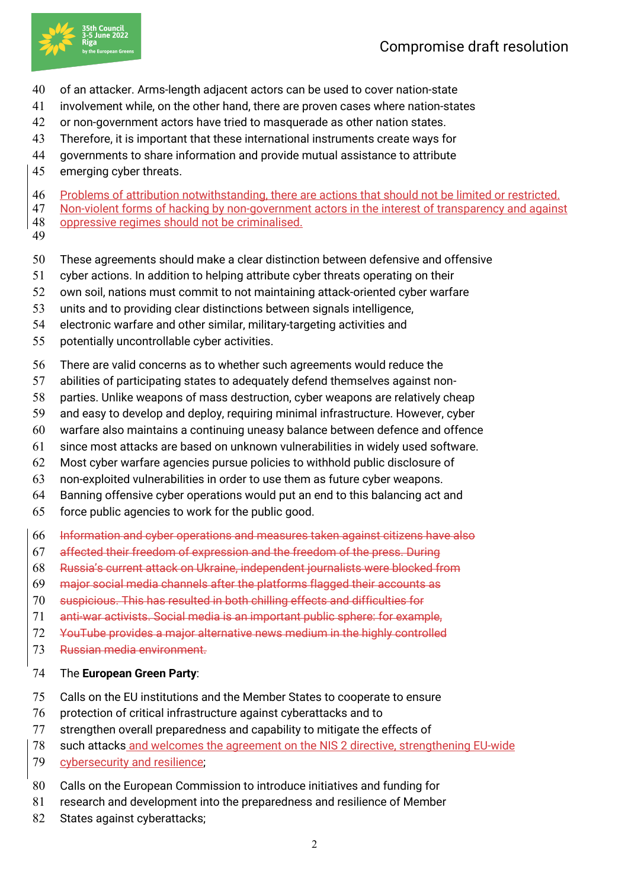

- of an attacker. Arms-length adjacent actors can be used to cover nation-state
- involvement while, on the other hand, there are proven cases where nation-states
- or non-government actors have tried to masquerade as other nation states.
- Therefore, it is important that these international instruments create ways for
- governments to share information and provide mutual assistance to attribute
- emerging cyber threats.
- Problems of attribution notwithstanding, there are actions that should not be limited or restricted.
- 47 Non-violent forms of hacking by non-government actors in the interest of transparency and against oppressive regimes should not be criminalised.
- 
- These agreements should make a clear distinction between defensive and offensive
- cyber actions. In addition to helping attribute cyber threats operating on their
- own soil, nations must commit to not maintaining attack-oriented cyber warfare
- units and to providing clear distinctions between signals intelligence,
- electronic warfare and other similar, military-targeting activities and
- potentially uncontrollable cyber activities.
- There are valid concerns as to whether such agreements would reduce the
- abilities of participating states to adequately defend themselves against non-
- parties. Unlike weapons of mass destruction, cyber weapons are relatively cheap
- and easy to develop and deploy, requiring minimal infrastructure. However, cyber
- warfare also maintains a continuing uneasy balance between defence and offence
- since most attacks are based on unknown vulnerabilities in widely used software.
- Most cyber warfare agencies pursue policies to withhold public disclosure of
- non-exploited vulnerabilities in order to use them as future cyber weapons.
- Banning offensive cyber operations would put an end to this balancing act and
- force public agencies to work for the public good.
- Information and cyber operations and measures taken against citizens have also
- affected their freedom of expression and the freedom of the press. During
- Russia's current attack on Ukraine, independent journalists were blocked from
- major social media channels after the platforms flagged their accounts as
- suspicious. This has resulted in both chilling effects and difficulties for
- anti-war activists. Social media is an important public sphere: for example,
- YouTube provides a major alternative news medium in the highly controlled
- Russian media environment.
- The **European Green Party**:
- Calls on the EU institutions and the Member States to cooperate to ensure
- protection of critical infrastructure against cyberattacks and to
- strengthen overall preparedness and capability to mitigate the effects of
- such attacks and welcomes the agreement on the NIS 2 directive, strengthening EU-wide
- 79 cybersecurity and resilience;
- Calls on the European Commission to introduce initiatives and funding for
- research and development into the preparedness and resilience of Member
- 82 States against cyberattacks;